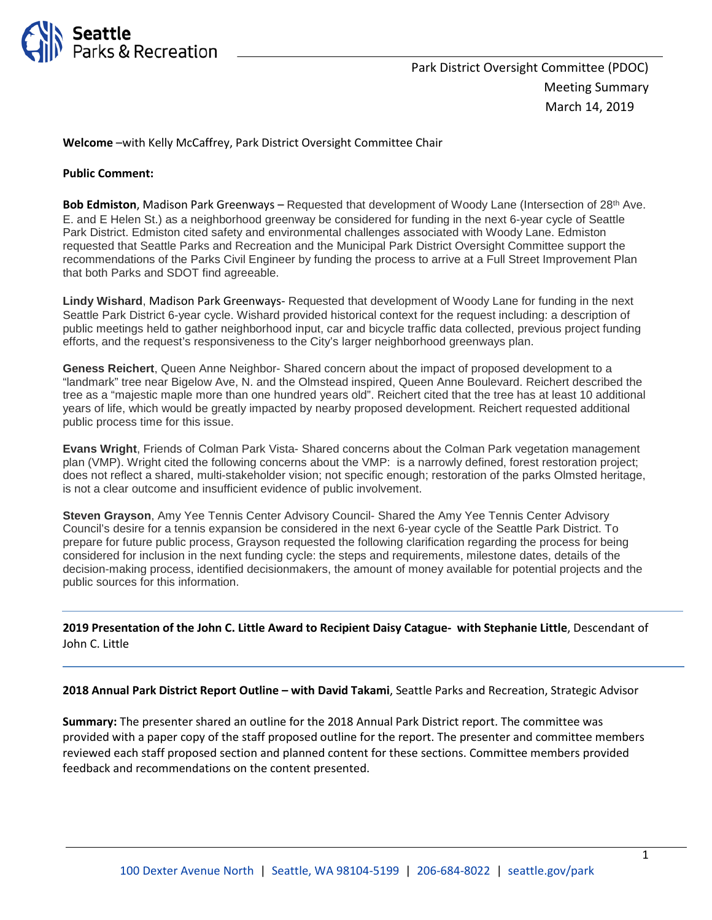

**Welcome** –with Kelly McCaffrey, Park District Oversight Committee Chair

#### **Public Comment:**

**Bob Edmiston**, Madison Park Greenways – Requested that development of Woody Lane (Intersection of 28<sup>th</sup> Ave. E. and E Helen St.) as a neighborhood greenway be considered for funding in the next 6-year cycle of Seattle Park District. Edmiston cited safety and environmental challenges associated with Woody Lane. Edmiston requested that Seattle Parks and Recreation and the Municipal Park District Oversight Committee support the recommendations of the Parks Civil Engineer by funding the process to arrive at a Full Street Improvement Plan that both Parks and SDOT find agreeable.

**Lindy Wishard**, Madison Park Greenways- Requested that development of Woody Lane for funding in the next Seattle Park District 6-year cycle. Wishard provided historical context for the request including: a description of public meetings held to gather neighborhood input, car and bicycle traffic data collected, previous project funding efforts, and the request's responsiveness to the City's larger neighborhood greenways plan.

**Geness Reichert**, Queen Anne Neighbor- Shared concern about the impact of proposed development to a "landmark" tree near Bigelow Ave, N. and the Olmstead inspired, Queen Anne Boulevard. Reichert described the tree as a "majestic maple more than one hundred years old". Reichert cited that the tree has at least 10 additional years of life, which would be greatly impacted by nearby proposed development. Reichert requested additional public process time for this issue.

**Evans Wright**, Friends of Colman Park Vista- Shared concerns about the Colman Park vegetation management plan (VMP). Wright cited the following concerns about the VMP: is a narrowly defined, forest restoration project; does not reflect a shared, multi-stakeholder vision; not specific enough; restoration of the parks Olmsted heritage, is not a clear outcome and insufficient evidence of public involvement.

**Steven Grayson**, Amy Yee Tennis Center Advisory Council- Shared the Amy Yee Tennis Center Advisory Council's desire for a tennis expansion be considered in the next 6-year cycle of the Seattle Park District. To prepare for future public process, Grayson requested the following clarification regarding the process for being considered for inclusion in the next funding cycle: the steps and requirements, milestone dates, details of the decision-making process, identified decisionmakers, the amount of money available for potential projects and the public sources for this information.

**2019 Presentation of the John C. Little Award to Recipient Daisy Catague- with Stephanie Little**, Descendant of John C. Little

**2018 Annual Park District Report Outline – with David Takami**, Seattle Parks and Recreation, Strategic Advisor

**Summary:** The presenter shared an outline for the 2018 Annual Park District report. The committee was provided with a paper copy of the staff proposed outline for the report. The presenter and committee members reviewed each staff proposed section and planned content for these sections. Committee members provided feedback and recommendations on the content presented.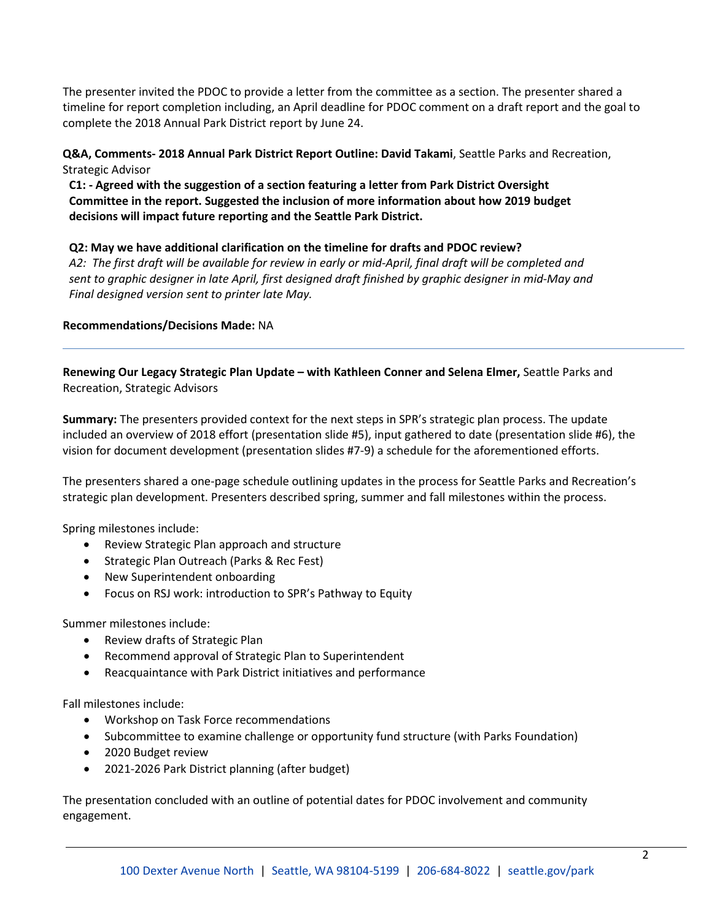The presenter invited the PDOC to provide a letter from the committee as a section. The presenter shared a timeline for report completion including, an April deadline for PDOC comment on a draft report and the goal to complete the 2018 Annual Park District report by June 24.

**Q&A, Comments- 2018 Annual Park District Report Outline: David Takami**, Seattle Parks and Recreation, Strategic Advisor

**C1: - Agreed with the suggestion of a section featuring a letter from Park District Oversight Committee in the report. Suggested the inclusion of more information about how 2019 budget decisions will impact future reporting and the Seattle Park District.** 

**Q2: May we have additional clarification on the timeline for drafts and PDOC review?** 

*A2: The first draft will be available for review in early or mid-April, final draft will be completed and sent to graphic designer in late April, first designed draft finished by graphic designer in mid-May and Final designed version sent to printer late May.* 

### **Recommendations/Decisions Made:** NA

**Renewing Our Legacy Strategic Plan Update – with Kathleen Conner and Selena Elmer,** Seattle Parks and Recreation, Strategic Advisors

**Summary:** The presenters provided context for the next steps in SPR's strategic plan process. The update included an overview of 2018 effort (presentation slide #5), input gathered to date (presentation slide #6), the vision for document development (presentation slides #7-9) a schedule for the aforementioned efforts.

The presenters shared a one-page schedule outlining updates in the process for Seattle Parks and Recreation's strategic plan development. Presenters described spring, summer and fall milestones within the process.

Spring milestones include:

- Review Strategic Plan approach and structure
- Strategic Plan Outreach (Parks & Rec Fest)
- New Superintendent onboarding
- Focus on RSJ work: introduction to SPR's Pathway to Equity

Summer milestones include:

- Review drafts of Strategic Plan
- Recommend approval of Strategic Plan to Superintendent
- Reacquaintance with Park District initiatives and performance

Fall milestones include:

- Workshop on Task Force recommendations
- Subcommittee to examine challenge or opportunity fund structure (with Parks Foundation)
- 2020 Budget review
- 2021-2026 Park District planning (after budget)

The presentation concluded with an outline of potential dates for PDOC involvement and community engagement.